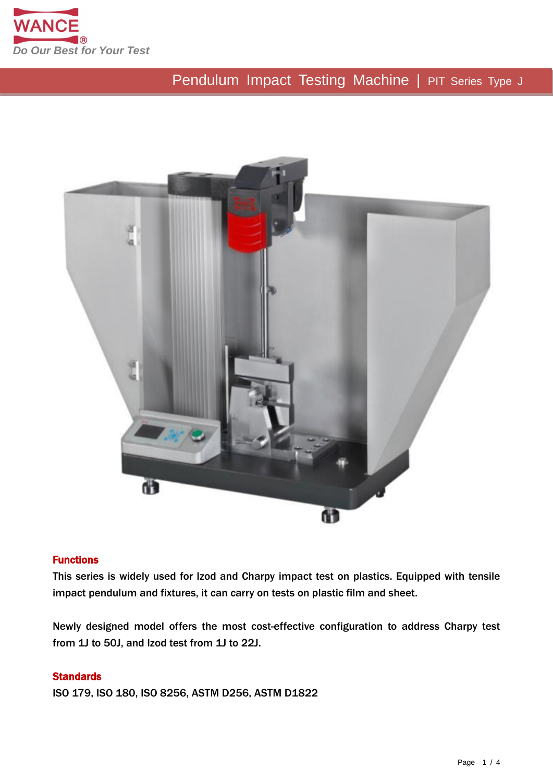



#### Functions

This series is widely used for Izod and Charpy impact test on plastics. Equipped with tensile impact pendulum and fixtures, it can carry on tests on plastic film and sheet.

Newly designed model offers the most cost-effective configuration to address Charpy test from 1J to 50J, and Izod test from 1J to 22J.

#### **Standards**

ISO 179, ISO 180, ISO 8256, ASTM D256, ASTM D1822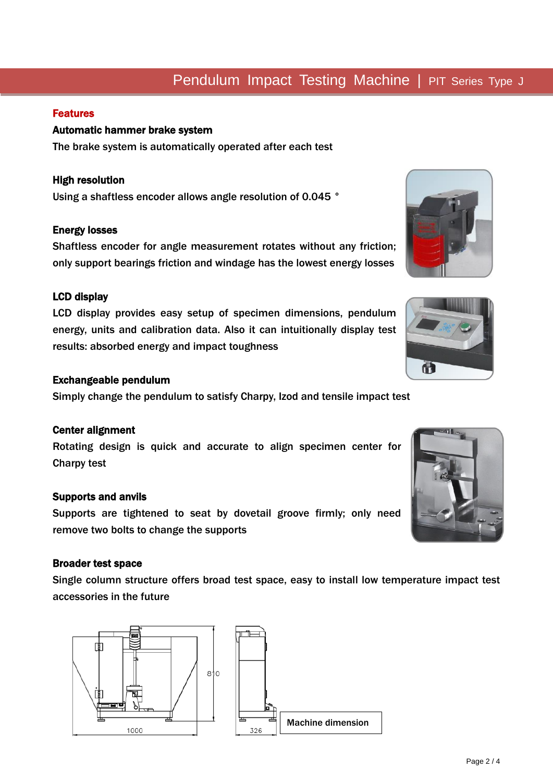## Features

i

## Automatic hammer brake system

The brake system is automatically operated after each test

#### High resolution

Using a shaftless encoder allows angle resolution of 0.045 °

#### Energy losses

Shaftless encoder for angle measurement rotates without any friction; only support bearings friction and windage has the lowest energy losses

#### LCD display

LCD display provides easy setup of specimen dimensions, pendulum energy, units and calibration data. Also it can intuitionally display test results: absorbed energy and impact toughness

#### Exchangeable pendulum

Simply change the pendulum to satisfy Charpy, Izod and tensile impact test

#### Center alignment

Rotating design is quick and accurate to align specimen center for Charpy test

#### Supports and anvils

Supports are tightened to seat by dovetail groove firmly; only need remove two bolts to change the supports

#### Broader test space

Single column structure offers broad test space, easy to install low temperature impact test accessories in the future

団 sło Machine dimension1000 326





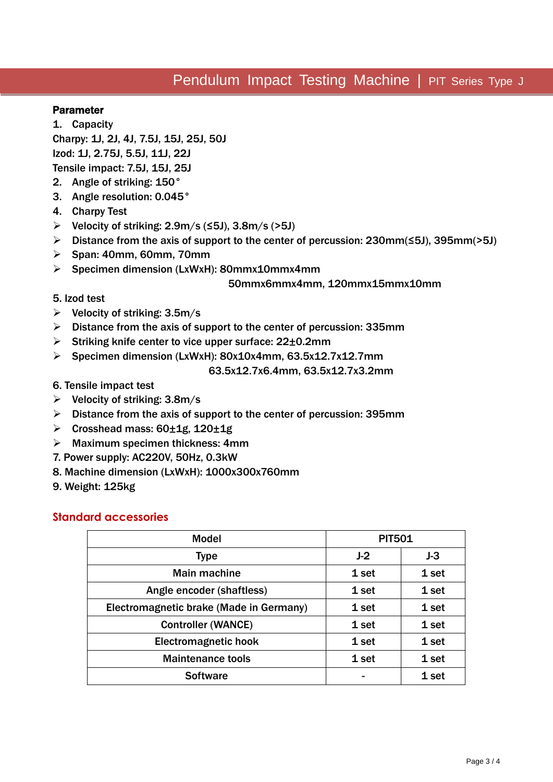#### Parameter

l

1. Capacity Charpy: 1J, 2J, 4J, 7.5J, 15J, 25J, 50J Izod: 1J, 2.75J, 5.5J, 11J, 22J Tensile impact: 7.5J, 15J, 25J

- 2. Angle of striking: 150°
- 3. Angle resolution: 0.045°
- 4. Charpy Test
- Velocity of striking: 2.9m/s (≤5J), 3.8m/s (>5J)
- Distance from the axis of support to the center of percussion: 230mm(≤5J), 395mm(>5J)
- $\triangleright$  Span: 40mm, 60mm, 70mm
- Specimen dimension (LxWxH): 80mmx10mmx4mm

#### 50mmx6mmx4mm, 120mmx15mmx10mm

#### 5. Izod test

- $\triangleright$  Velocity of striking: 3.5m/s
- $\triangleright$  Distance from the axis of support to the center of percussion: 335mm
- Striking knife center to vice upper surface:  $22\pm0.2$ mm
- Specimen dimension (LxWxH): 80x10x4mm, 63.5x12.7x12.7mm

#### 63.5x12.7x6.4mm, 63.5x12.7x3.2mm

- 6. Tensile impact test
- $\triangleright$  Velocity of striking: 3.8m/s
- $\triangleright$  Distance from the axis of support to the center of percussion: 395mm
- $▶$  Crosshead mass: 60 $±1g$ , 120 $±1g$
- $\triangleright$  Maximum specimen thickness: 4mm
- 7. Power supply: AC220V, 50Hz, 0.3kW
- 8. Machine dimension (LxWxH): 1000x300x760mm
- 9. Weight: 125kg

## **Standard accessories**

| <b>Model</b>                            | <b>PIT501</b> |       |
|-----------------------------------------|---------------|-------|
| <b>Type</b>                             | $J-2$         | $J-3$ |
| <b>Main machine</b>                     | 1 set         | 1 set |
| Angle encoder (shaftless)               | 1 set         | 1 set |
| Electromagnetic brake (Made in Germany) | 1 set         | 1 set |
| <b>Controller (WANCE)</b>               | 1 set         | 1 set |
| Electromagnetic hook                    | 1 set         | 1 set |
| <b>Maintenance tools</b>                | 1 set         | 1 set |
| <b>Software</b>                         |               | 1 set |